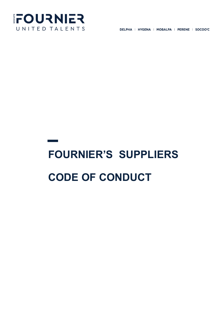

DELPHA | HYGENA | MOBALPA | PERENE | SOCOO'C

## **FOURNIER'S SUPPLIERS CODE OF CONDUCT**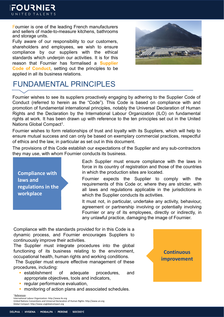**FOURNIER** UNITED TALENTS

Fournier is one of the leading French manufacturers and sellers of made-to-measure kitchens, bathrooms and storage units.

Fully aware of our responsibility to our customers, shareholders and employees, we wish to ensure compliance by our suppliers with the ethical standards which underpin our activities. It is for this reason that Fournier has formalised a **Supplier Code of Conduct**, setting out the principles to be applied in all its business relations.



## FUNDAMENTAL PRINCIPLES

Fournier wishes to see its suppliers proactively engaging by adhering to the Supplier Code of Conduct (referred to herein as the "Code"). This Code is based on compliance with and promotion of fundamental international principles, notably the Universal Declaration of Human Rights and the Declaration by the International Labour Organization (ILO) on fundamental rights at work. It has been drawn up with reference to the ten principles set out in the United Nations Global Compact<sup>1</sup>.

Fournier wishes to form relationships of trust and loyalty with its Suppliers, which will help to ensure mutual success and can only be based on exemplary commercial practices, respectful of ethics and the law, in particular as set out in this document.

The provisions of this Code establish our expectations of the Supplier and any sub-contractors they may use, with whom Fournier conducts its business.

**Compliance with laws and regulations in the workplace**

Each Supplier must ensure compliance with the laws in force in its country of registration and those of the countries in which the production sites are located.

Fournier expects the Supplier to comply with the requirements of this Code or, where they are stricter, with all laws and regulations applicable in the jurisdictions in which the Supplier conducts its activities.

It must not, in particular, undertake any activity, behaviour, agreement or partnership involving or potentially involving Fournier or any of its employees, directly or indirectly, in any unlawful practice, damaging the image of Fournier.

Compliance with the standards provided for in this Code is a dynamic process, and Fournier encourages Suppliers to continuously improve their activities.

The Supplier must integrate procedures into the global functioning of its business relating to the environment, occupational health, human rights and working conditions.

The Supplier must ensure effective management of these procedures, including:

- **Exercise Engilshment** of adequate procedures, and appropriate objectives, tools and indicators,
- **P** regular performance evaluation,
- **number 1** monitoring of action plans and associated schedules.

**Continuous improvement**

<sup>1</sup> References

International Labour Organization: http://www.ilo.org United Nations Conventions and Universal Declaration of Human Rights: http://www.un.org Global Compact: http://www.unglobalcompact.org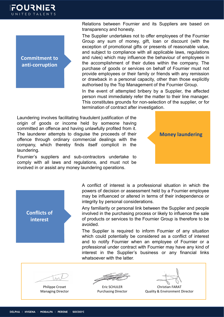**Commitment to anti-corruption**

Relations between Fournier and its Suppliers are based on transparency and honesty.

The Supplier undertakes not to offer employees of the Fournier Group any sum of money, gift, loan or discount (with the exception of promotional gifts or presents of reasonable value, and subject to compliance with all applicable laws, regulations and rules) which may influence the behaviour of employees in the accomplishment of their duties within the company. The purchase of goods or services on behalf of Fournier must not provide employees or their family or friends with any remission or drawback in a personal capacity, other than those explicitly authorised by the Top Management of the Fournier Group.

In the event of attempted bribery by a Supplier, the affected person must immediately refer the matter to their line manager. This constitutes grounds for non-selection of the supplier, or for termination of contract after investigation.

Laundering involves facilitating fraudulent justification of the origin of goods or income held by someone having committed an offence and having unlawfully profited from it. The launderer attempts to disguise the proceeds of their offence through ordinary commercial dealings with the company, which thereby finds itself complicit in the laundering.

Fournier's suppliers and sub-contractors undertake to comply with all laws and regulations, and must not be involved in or assist any money laundering operations.



A conflict of interest is a professional situation in which the powers of decision or assessment held by a Fournier employee may be influenced or altered in terms of their independence or integrity by personal considerations.

Any familiarity or personal link between the Supplier and people involved in the purchasing process or likely to influence the sale of products or services to the Fournier Group is therefore to be avoided.

The Supplier is required to inform Fournier of any situation which could potentially be considered as a conflict of interest and to notify Fournier when an employee of Fournier or a professional under contract with Fournier may have any kind of interest in the Supplier's business or any financial links whatsoever with the latter.

**Conflicts of interest**

Philippe Croset Managing Director

Eric SCHULER Purchasing Director

Christian FARAT Quality & Environment Director